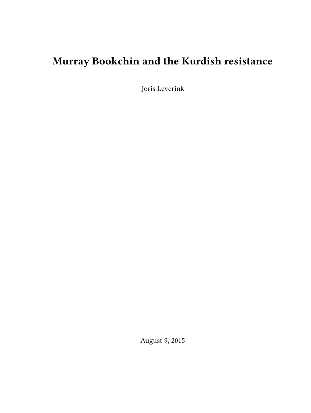# **Murray Bookchin and the Kurdish resistance**

Joris Leverink

August 9, 2015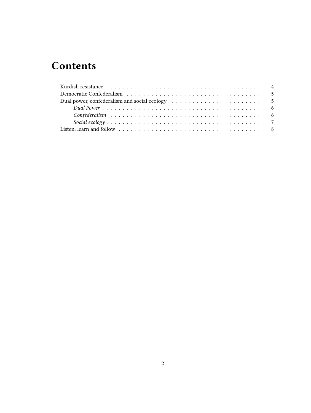# **Contents**

| Dual power, confederalism and social ecology (and social expansion of the state of the state of the state of the state of the state of the state of the state of the state of the state of the state of the state of the state |
|--------------------------------------------------------------------------------------------------------------------------------------------------------------------------------------------------------------------------------|
|                                                                                                                                                                                                                                |
|                                                                                                                                                                                                                                |
|                                                                                                                                                                                                                                |
|                                                                                                                                                                                                                                |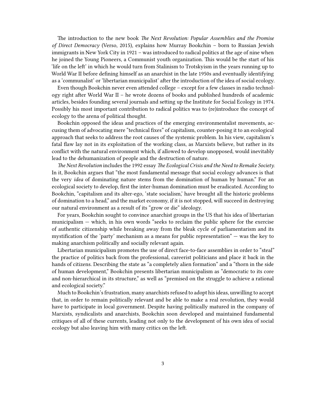The introduction to the new book *The Next Revolution: Popular Assemblies and the Promise of Direct Democracy* (Verso, 2015), explains how Murray Bookchin – born to Russian Jewish immigrants in New York City in 1921 – was introduced to radical politics at the age of nine when he joined the Young Pioneers, a Communist youth organization. This would be the start of his 'life on the left' in which he would turn from Stalinism to Trotskyism in the years running up to World War II before defining himself as an anarchist in the late 1950s and eventually identifying as a 'communalist' or 'libertarian municipalist' after the introduction of the idea of social ecology.

Even though Bookchin never even attended college – except for a few classes in radio technology right after World War II – he wrote dozens of books and published hundreds of academic articles, besides founding several journals and setting up the Institute for Social Ecology in 1974. Possibly his most important contribution to radical politics was to (re)introduce the concept of ecology to the arena of political thought.

Bookchin opposed the ideas and practices of the emerging environmentalist movements, accusing them of advocating mere "technical fixes" of capitalism, counter-posing it to an ecological approach that seeks to address the root causes of the systemic problem. In his view, capitalism's fatal flaw lay not in its exploitation of the working class, as Marxists believe, but rather in its conflict with the natural environment which, if allowed to develop unopposed, would inevitably lead to the dehumanization of people and the destruction of nature.

*The Next Revolution* includes the 1992 essay *The Ecological Crisis and the Need to Remake Society.* In it, Bookchin argues that "the most fundamental message that social ecology advances is that the very *idea* of dominating nature stems from the domination of human by human." For an ecological society to develop, first the inter-human domination must be eradicated. According to Bookchin, "capitalism and its alter-ego, 'state socialism,' have brought all the historic problems of domination to a head," and the market economy, if it is not stopped, will succeed in destroying our natural environment as a result of its "grow or die" ideology.

For years, Bookchin sought to convince anarchist groups in the US that his idea of libertarian municipalism — which, in his own words "seeks to reclaim the public sphere for the exercise of authentic citizenship while breaking away from the bleak cycle of parliamentarism and its mystification of the 'party' mechanism as a means for public representation" — was the key to making anarchism politically and socially relevant again.

Libertarian municipalism promotes the use of direct face-to-face assemblies in order to "steal" the practice of politics back from the professional, careerist politicians and place it back in the hands of citizens. Describing the state as "a completely alien formation" and a "thorn in the side of human development," Bookchin presents libertarian municipalism as "democratic to its core and non-hierarchical in its structure," as well as "premised on the struggle to achieve a rational and ecological society."

Much to Bookchin's frustration, many anarchists refused to adopt his ideas, unwilling to accept that, in order to remain politically relevant and be able to make a real revolution, they would have to participate in local government. Despite having politically matured in the company of Marxists, syndicalists and anarchists, Bookchin soon developed and maintained fundamental critiques of all of these currents, leading not only to the development of his own idea of social ecology but also leaving him with many critics on the left.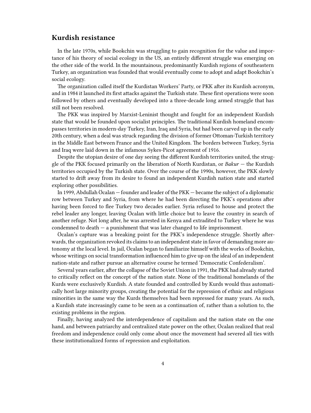## <span id="page-3-0"></span>**Kurdish resistance**

In the late 1970s, while Bookchin was struggling to gain recognition for the value and importance of his theory of social ecology in the US, an entirely different struggle was emerging on the other side of the world. In the mountainous, predominantly Kurdish regions of southeastern Turkey, an organization was founded that would eventually come to adopt and adapt Bookchin's social ecology.

The organization called itself the Kurdistan Workers' Party, or PKK after its Kurdish acronym, and in 1984 it launched its first attacks against the Turkish state. These first operations were soon followed by others and eventually developed into a three-decade long armed struggle that has still not been resolved.

The PKK was inspired by Marxist-Leninist thought and fought for an independent Kurdish state that would be founded upon socialist principles. The traditional Kurdish homeland encompasses territories in modern-day Turkey, Iran, Iraq and Syria, but had been carved up in the early 20th century, when a deal was struck regarding the division of former Ottoman-Turkish territory in the Middle East between France and the United Kingdom. The borders between Turkey, Syria and Iraq were laid down in the infamous Sykes-Picot agreement of 1916.

Despite the utopian desire of one day seeing the different Kurdish territories united, the struggle of the PKK focused primarily on the liberation of North Kurdistan, or *Bakur* — the Kurdish territories occupied by the Turkish state. Over the course of the 1990s, however, the PKK slowly started to drift away from its desire to found an independent Kurdish nation state and started exploring other possibilities.

In 1999, Abdullah Öcalan — founder and leader of the PKK — became the subject of a diplomatic row between Turkey and Syria, from where he had been directing the PKK's operations after having been forced to flee Turkey two decades earlier. Syria refused to house and protect the rebel leader any longer, leaving Öcalan with little choice but to leave the country in search of another refuge. Not long after, he was arrested in Kenya and extradited to Turkey where he was condemned to death — a punishment that was later changed to life imprisonment.

Öcalan's capture was a breaking point for the PKK's independence struggle. Shortly afterwards, the organization revoked its claims to an independent state in favor of demanding more autonomy at the local level. In jail, Öcalan began to familiarize himself with the works of Bookchin, whose writings on social transformation influenced him to give up on the ideal of an independent nation-state and rather pursue an alternative course he termed 'Democratic Confederalism'.

Several years earlier, after the collapse of the Soviet Union in 1991, the PKK had already started to critically reflect on the concept of the nation state. None of the traditional homelands of the Kurds were exclusively Kurdish. A state founded and controlled by Kurds would thus automatically host large minority groups, creating the potential for the repression of ethnic and religious minorities in the same way the Kurds themselves had been repressed for many years. As such, a Kurdish state increasingly came to be seen as a continuation of, rather than a solution to, the existing problems in the region.

Finally, having analyzed the interdependence of capitalism and the nation state on the one hand, and between patriarchy and centralized state power on the other, Öcalan realized that real freedom and independence could only come about once the movement had severed all ties with these institutionalized forms of repression and exploitation.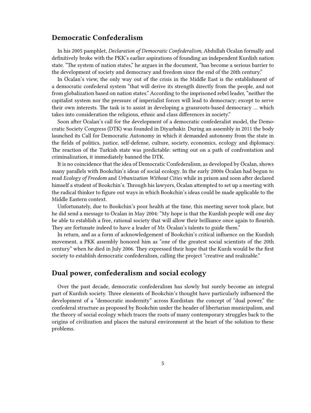## <span id="page-4-0"></span>**Democratic Confederalism**

In his 2005 pamphlet, *Declaration of Democratic Confederalism*, Abdullah Öcalan formally and definitively broke with the PKK's earlier aspirations of founding an independent Kurdish nation state. "The system of nation states," he argues in the document, "has become a serious barrier to the development of society and democracy and freedom since the end of the 20th century."

In Öcalan's view, the only way out of the crisis in the Middle East is the establishment of a democratic confederal system "that will derive its strength directly from the people, and not from globalization based on nation states." According to the imprisoned rebel leader, "neither the capitalist system nor the pressure of imperialist forces will lead to democracy; except to serve their own interests. The task is to assist in developing a grassroots-based democracy … which takes into consideration the religious, ethnic and class differences in society."

Soon after Öcalan's call for the development of a democratic confederalist model, the Democratic Society Congress (DTK) was founded in Diyarbakir. During an assembly in 2011 the body launched its Call for Democratic Autonomy in which it demanded autonomy from the state in the fields of politics, justice, self-defense, culture, society, economics, ecology and diplomacy. The reaction of the Turkish state was predictable: setting out on a path of confrontation and criminalization, it immediately banned the DTK.

It is no coincidence that the idea of Democratic Confederalism, as developed by Öcalan, shows many parallels with Bookchin's ideas of social ecology. In the early 2000s Öcalan had begun to read *Ecology of Freedom* and *Urbanization Without Cities* while in prison and soon after declared himself a student of Bookchin's. Through his lawyers, Öcalan attempted to set up a meeting with the radical thinker to figure out ways in which Bookchin's ideas could be made applicable to the Middle Eastern context.

Unfortunately, due to Bookchin's poor health at the time, this meeting never took place, but he did send a message to Öcalan in May 2004: "My hope is that the Kurdish people will one day be able to establish a free, rational society that will allow their brilliance once again to flourish. They are fortunate indeed to have a leader of Mr. Öcalan's talents to guide them."

In return, and as a form of acknowledgement of Bookchin's critical influence on the Kurdish movement, a PKK assembly honored him as "one of the greatest social scientists of the 20th century" when he died in July 2006. They expressed their hope that the Kurds would be the first society to establish democratic confederalism, calling the project "creative and realizable."

### <span id="page-4-1"></span>**Dual power, confederalism and social ecology**

Over the past decade, democratic confederalism has slowly but surely become an integral part of Kurdish society. Three elements of Bookchin's thought have particularly influenced the development of a "democratic modernity" across Kurdistan: the concept of "dual power," the confederal structure as proposed by Bookchin under the header of libertarian municipalism, and the theory of social ecology which traces the roots of many contemporary struggles back to the origins of civilization and places the natural environment at the heart of the solution to these problems.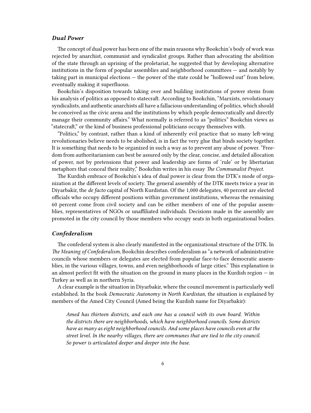#### <span id="page-5-0"></span>*Dual Power*

The concept of dual power has been one of the main reasons why Bookchin's body of work was rejected by anarchist, communist and syndicalist groups. Rather than advocating the abolition of the state through an uprising of the proletariat, he suggested that by developing alternative institutions in the form of popular assemblies and neighborhood committees — and notably by taking part in municipal elections — the power of the state could be "hollowed out" from below, eventually making it superfluous.

Bookchin's disposition towards taking over and building institutions of power stems from his analysis of politics as opposed to statecraft. According to Bookchin, "Marxists, revolutionary syndicalists, and authentic anarchists all have a fallacious understanding of politics, which should be conceived as the civic arena and the institutions by which people democratically and directly manage their community affairs." What normally is referred to as "politics" Bookchin views as "statecraft," or the kind of business professional politicians occupy themselves with.

"Politics," by contrast, rather than a kind of inherently evil practice that so many left-wing revolutionaries believe needs to be abolished, is in fact the very glue that binds society together. It is something that needs to be organized in such a way as to prevent any abuse of power. "Freedom from authoritarianism can best be assured only by the clear, concise, and detailed allocation of power, not by pretensions that power and leadership are forms of 'rule' or by libertarian metaphors that conceal their reality," Bookchin writes in his essay *The Communalist Project*.

The Kurdish embrace of Bookchin's idea of dual power is clear from the DTK's mode of organization at the different levels of society. The general assembly of the DTK meets twice a year in Diyarbakir, the *de facto* capital of North Kurdistan. Of the 1,000 delegates, 40 percent are elected officials who occupy different positions within government institutions, whereas the remaining 60 percent come from civil society and can be either members of one of the popular assemblies, representatives of NGOs or unaffiliated individuals. Decisions made in the assembly are promoted in the city council by those members who occupy seats in both organizational bodies.

#### <span id="page-5-1"></span>*Confederalism*

The confederal system is also clearly manifested in the organizational structure of the DTK. In *The Meaning of Confederalism*, Bookchin describes confederalism as "a network of administrative councils whose members or delegates are elected from popular face-to-face democratic assemblies, in the various villages, towns, and even neighborhoods of large cities." This explanation is an almost perfect fit with the situation on the ground in many places in the Kurdish region — in Turkey as well as in northern Syria.

A clear example is the situation in Diyarbakir, where the council movement is particularly well established. In the book *Democratic Autonomy in North Kurdistan*, the situation is explained by members of the Amed City Council (Amed being the Kurdish name for Diyarbakir):

*Amed has thirteen districts, and each one has a council with its own board. Within the districts there are neighborhoods, which have neighborhood councils. Some districts have as many as eight neighborhood councils. And some places have councils even at the street level. In the nearby villages, there are communes that are tied to the city council. So power is articulated deeper and deeper into the base.*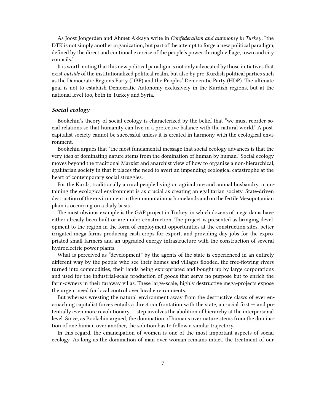As Joost Jongerden and Ahmet Akkaya write in *Confederalism and autonomy in Turkey*: "the DTK is not simply another organization, but part of the attempt to forge a new political paradigm, defined by the direct and continual exercise of the people's power through village, town and city councils."

It is worth noting that this new political paradigm is not only advocated by those initiatives that exist *outside* of the institutionalized political realm, but also by pro-Kurdish political parties such as the Democratic Regions Party (DBP) and the Peoples' Democratic Party (HDP). The ultimate goal is not to establish Democratic Autonomy exclusively in the Kurdish regions, but at the national level too, both in Turkey and Syria.

#### <span id="page-6-0"></span>*Social ecology*

Bookchin's theory of social ecology is characterized by the belief that "we must reorder social relations so that humanity can live in a protective balance with the natural world." A postcapitalist society cannot be successful unless it is created in harmony with the ecological environment.

Bookchin argues that "the most fundamental message that social ecology advances is that the very *idea* of dominating nature stems from the domination of human by human." Social ecology moves beyond the traditional Marxist and anarchist view of how to organize a non-hierarchical, egalitarian society in that it places the need to avert an impending ecological catastrophe at the heart of contemporary social struggles.

For the Kurds, traditionally a rural people living on agriculture and animal husbandry, maintaining the ecological environment is as crucial as creating an egalitarian society. State-driven destruction of the environment in their mountainous homelands and on the fertile Mesopotamian plain is occurring on a daily basis.

The most obvious example is the GAP project in Turkey, in which dozens of mega dams have either already been built or are under construction. The project is presented as bringing development to the region in the form of employment opportunities at the construction sites, better irrigated mega-farms producing cash crops for export, and providing day jobs for the expropriated small farmers and an upgraded energy infrastructure with the construction of several hydroelectric power plants.

What is perceived as "development" by the agents of the state is experienced in an entirely different way by the people who see their homes and villages flooded, the free-flowing rivers turned into commodities, their lands being expropriated and bought up by large corporations and used for the industrial-scale production of goods that serve no purpose but to enrich the farm-owners in their faraway villas. These large-scale, highly destructive mega-projects expose the urgent need for local control over local environments.

But whereas wresting the natural environment away from the destructive claws of ever encroaching capitalist forces entails a direct confrontation with the state, a crucial first — and potentially even more revolutionary — step involves the abolition of hierarchy at the interpersonal level. Since, as Bookchin argued, the domination of humans over nature stems from the domination of one human over another, the solution has to follow a similar trajectory.

In this regard, the emancipation of women is one of the most important aspects of social ecology. As long as the domination of man over woman remains intact, the treatment of our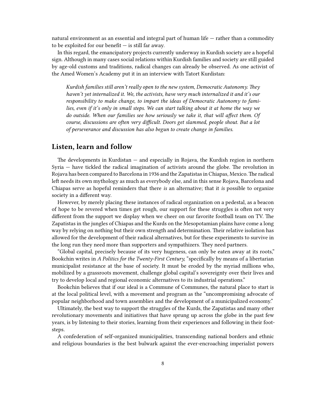natural environment as an essential and integral part of human life — rather than a commodity to be exploited for our benefit  $-$  is still far away.

In this regard, the emancipatory projects currently underway in Kurdish society are a hopeful sign. Although in many cases social relations within Kurdish families and society are still guided by age-old customs and traditions, radical changes can already be observed. As one activist of the Amed Women's Academy put it in an interview with Tatort Kurdistan:

*Kurdish families still aren't really open to the new system, Democratic Autonomy. They haven't yet internalized it. We, the activists, have very much internalized it and it's our responsibility to make change, to impart the ideas of Democratic Autonomy to families, even if it's only in small steps. We can start talking about it at home the way we do outside. When our families see how seriously we take it, that will affect them. Of course, discussions are often very difficult. Doors get slammed, people shout. But a lot of perseverance and discussion has also begun to create change in families.*

#### <span id="page-7-0"></span>**Listen, learn and follow**

The developments in Kurdistan — and especially in Rojava, the Kurdish region in northern Syria — have tickled the radical imagination of activists around the globe. The revolution in Rojava has been compared to Barcelona in 1936 and the Zapatistas in Chiapas, Mexico.The radical left needs its own mythology as much as everybody else, and in this sense Rojava, Barcelona and Chiapas serve as hopeful reminders that there *is* an alternative; that it *is* possible to organize society in a different way.

However, by merely placing these instances of radical organization on a pedestal, as a beacon of hope to be revered when times get rough, our support for these struggles is often not very different from the support we display when we cheer on our favorite football team on TV. The Zapatistas in the jungles of Chiapas and the Kurds on the Mesopotamian plains have come a long way by relying on nothing but their own strength and determination. Their relative isolation has allowed for the development of their radical alternatives, but for these experiments to survive in the long run they need more than supporters and sympathizers. They need partners.

"Global capital, precisely because of its very hugeness, can only be eaten away at its roots," Bookchin writes in *A Politics for the Twenty-First Century,* "specifically by means of a libertarian municipalist resistance at the base of society. It must be eroded by the myriad millions who, mobilized by a grassroots movement, challenge global capital's sovereignty over their lives and try to develop local and regional economic alternatives to its industrial operations."

Bookchin believes that if our ideal is a Commune of Communes, the natural place to start is at the local political level, with a movement and program as the "uncompromising advocate of popular neighborhood and town assemblies and the development of a municipalized economy."

Ultimately, the best way to support the struggles of the Kurds, the Zapatistas and many other revolutionary movements and initiatives that have sprung up across the globe in the past few years, is by listening to their stories, learning from their experiences and following in their footsteps.

A confederation of self-organized municipalities, transcending national borders and ethnic and religious boundaries is the best bulwark against the ever-encroaching imperialist powers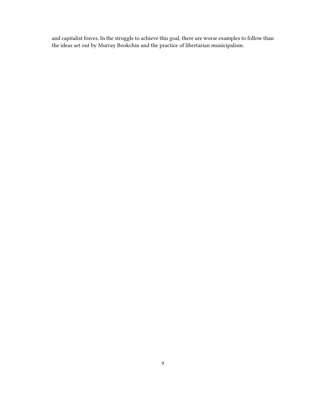and capitalist forces. In the struggle to achieve this goal, there are worse examples to follow than the ideas set out by Murray Bookchin and the practice of libertarian municipalism.